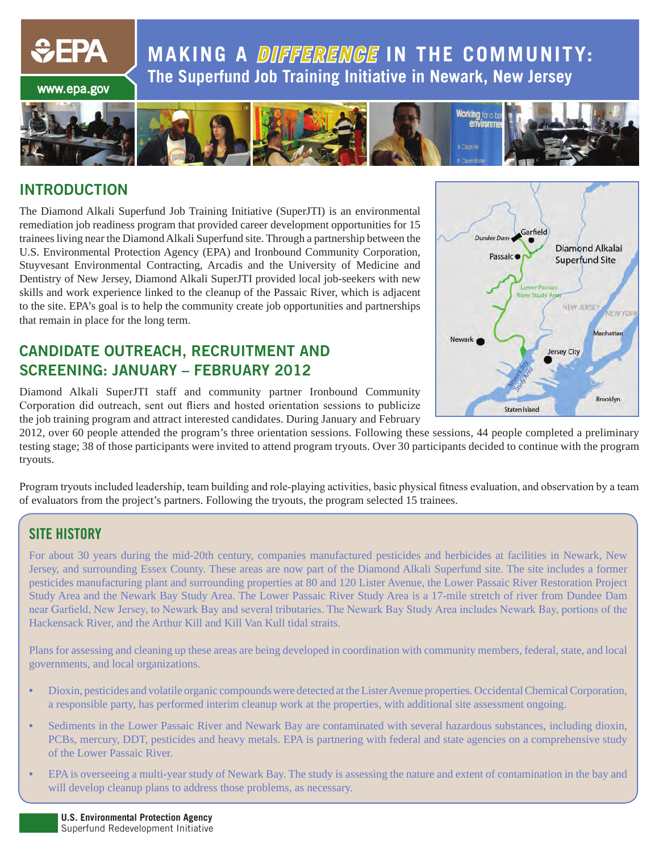**MAKING A** *DIFFERENCE* **IN THE COMMUNITY: The Superfund Job Training Initiative in Newark, New Jersey**



### **INTRODUCTION**

www.epa.gov

 $\div$ EPA

The Diamond Alkali Superfund Job Training Initiative (SuperJTI) is an environmental remediation job readiness program that provided career development opportunities for 15 trainees living near the Diamond Alkali Superfund site. Through a partnership between the U.S. Environmental Protection Agency (EPA) and Ironbound Community Corporation, Stuyvesant Environmental Contracting, Arcadis and the University of Medicine and Dentistry of New Jersey, Diamond Alkali SuperJTI provided local job-seekers with new skills and work experience linked to the cleanup of the Passaic River, which is adjacent to the site. EPA's goal is to help the community create job opportunities and partnerships that remain in place for the long term.

### **CANDIDATE OUTREACH, RECRUITMENT AND SCREENING: JANUARY – FEBRUARY 2012**



Diamond Alkali SuperJTI staff and community partner Ironbound Community Corporation did outreach, sent out fliers and hosted orientation sessions to publicize the job training program and attract interested candidates. During January and February

2012, over 60 people attended the program's three orientation sessions. Following these sessions, 44 people completed a preliminary testing stage; 38 of those participants were invited to attend program tryouts. Over 30 participants decided to continue with the program tryouts.

Program tryouts included leadership, team building and role-playing activities, basic physical fitness evaluation, and observation by a team of evaluators from the project's partners. Following the tryouts, the program selected 15 trainees.

### **SITE HISTORY**

For about 30 years during the mid-20th century, companies manufactured pesticides and herbicides at facilities in Newark, New Jersey, and surrounding Essex County. These areas are now part of the Diamond Alkali Superfund site. The site includes a former pesticides manufacturing plant and surrounding properties at 80 and 120 Lister Avenue, the Lower Passaic River Restoration Project Study Area and the Newark Bay Study Area. The Lower Passaic River Study Area is a 17-mile stretch of river from Dundee Dam near Garfield, New Jersey, to Newark Bay and several tributaries. The Newark Bay Study Area includes Newark Bay, portions of the Hackensack River, and the Arthur Kill and Kill Van Kull tidal straits.

Plans for assessing and cleaning up these areas are being developed in coordination with community members, federal, state, and local governments, and local organizations.

- Dioxin, pesticides and volatile organic compounds were detected at the Lister Avenue properties. Occidental Chemical Corporation, a responsible party, has performed interim cleanup work at the properties, with additional site assessment ongoing.
- Sediments in the Lower Passaic River and Newark Bay are contaminated with several hazardous substances, including dioxin, PCBs, mercury, DDT, pesticides and heavy metals. EPA is partnering with federal and state agencies on a comprehensive study of the Lower Passaic River.
- EPA is overseeing a multi-year study of Newark Bay. The study is assessing the nature and extent of contamination in the bay and will develop cleanup plans to address those problems, as necessary.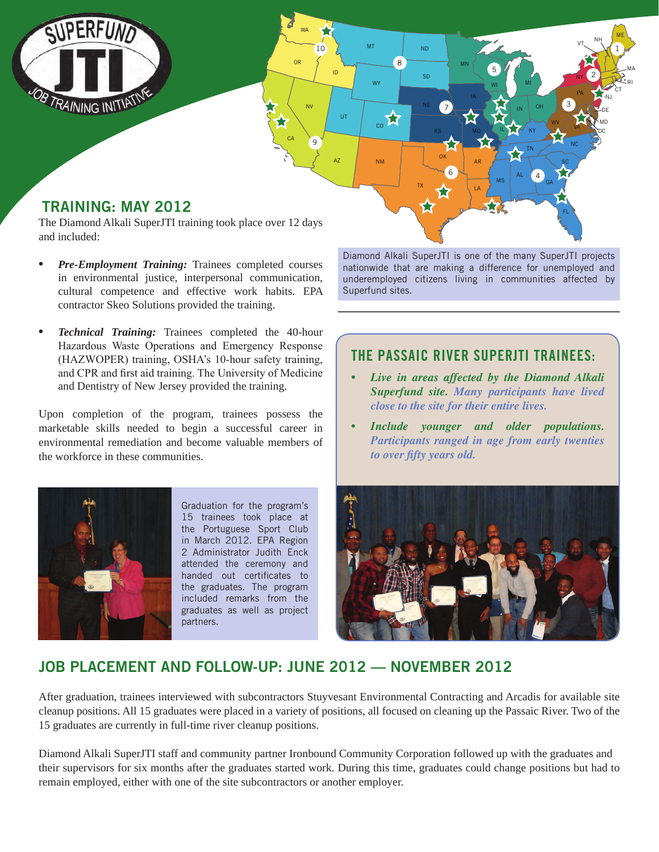

- *• Pre-Employment Training:* Trainees completed courses in environmental justice, interpersonal communication, cultural competence and effective work habits. EPA contractor Skeo Solutions provided the training.
- *• Technical Training:* Trainees completed the 40-hour Hazardous Waste Operations and Emergency Response (HAZWOPER) training, OSHA's 10-hour safety training, and CPR and first aid training. The University of Medicine and Dentistry of New Jersey provided the training.

Upon completion of the program, trainees possess the marketable skills needed to begin a successful career in environmental remediation and become valuable members of the workforce in these communities.



Graduation for the program's 15 trainees took place at the Portuguese Sport Club in March 2012. EPA Region 2 Administrator Judith Enck attended the ceremony and handed out certificates to the graduates. The program included remarks from the graduates as well as project partners.

Diamond Alkali SuperJTI is one of the many SuperJTI projects nationwide that are making a difference for unemployed and underemployed citizens living in communities affected by Superfund sites.

### **THE PASSAIC RIVER SUPERJTI TRAINEES:**

- *• Live in areas affected by the Diamond Alkali Superfund site. Many participants have lived close to the site for their entire lives.*
- *<u>Include</u> younger and older populations. Participants ranged in age from early twenties to over fifty years old.*



### **JOB PLACEMENT AND FOLLOW-UP: JUNE 2012 — NOVEMBER 2012**

After graduation, trainees interviewed with subcontractors Stuyvesant Environmental Contracting and Arcadis for available site cleanup positions. All 15 graduates were placed in a variety of positions, all focused on cleaning up the Passaic River. Two of the 15 graduates are currently in full-time river cleanup positions.

Diamond Alkali SuperJTI staff and community partner Ironbound Community Corporation followed up with the graduates and their supervisors for six months after the graduates started work. During this time, graduates could change positions but had to remain employed, either with one of the site subcontractors or another employer.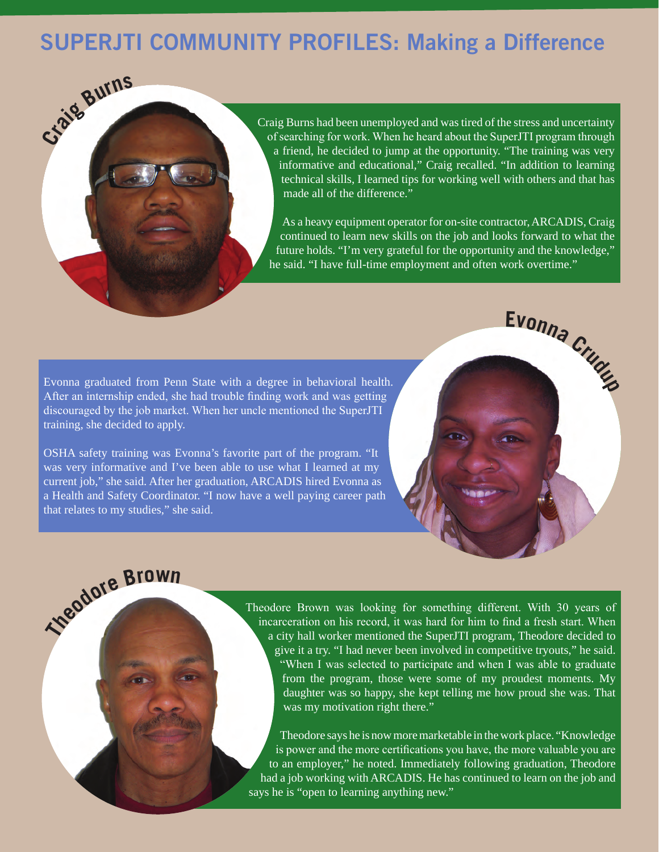# **SUPERJTI COMMUNITY PROFILES: Making a Difference**



Craig Burns had been unemployed and was tired of the stress and uncertainty of searching for work. When he heard about the SuperJTI program through a friend, he decided to jump at the opportunity. "The training was very informative and educational," Craig recalled. "In addition to learning technical skills, I learned tips for working well with others and that has made all of the difference."

As a heavy equipment operator for on-site contractor, ARCADIS, Craig continued to learn new skills on the job and looks forward to what the future holds. "I'm very grateful for the opportunity and the knowledge," he said. "I have full-time employment and often work overtime."

Evonna graduated from Penn State with a degree in behavioral health. After an internship ended, she had trouble finding work and was getting discouraged by the job market. When her uncle mentioned the SuperJTI training, she decided to apply.

OSHA safety training was Evonna's favorite part of the program. "It was very informative and I've been able to use what I learned at my current job," she said. After her graduation, ARCADIS hired Evonna as a Health and Safety Coordinator. "I now have a well paying career path that relates to my studies," she said.



# **Theodor<sup>e</sup> <sup>B</sup>row<sup>n</sup>**

Theodore Brown was looking for something different. With 30 years of incarceration on his record, it was hard for him to find a fresh start. When a city hall worker mentioned the SuperJTI program, Theodore decided to give it a try. "I had never been involved in competitive tryouts," he said. "When I was selected to participate and when I was able to graduate from the program, those were some of my proudest moments. My daughter was so happy, she kept telling me how proud she was. That was my motivation right there."

Theodore says he is now more marketable in the work place. "Knowledge is power and the more certifications you have, the more valuable you are to an employer," he noted. Immediately following graduation, Theodore had a job working with ARCADIS. He has continued to learn on the job and says he is "open to learning anything new."